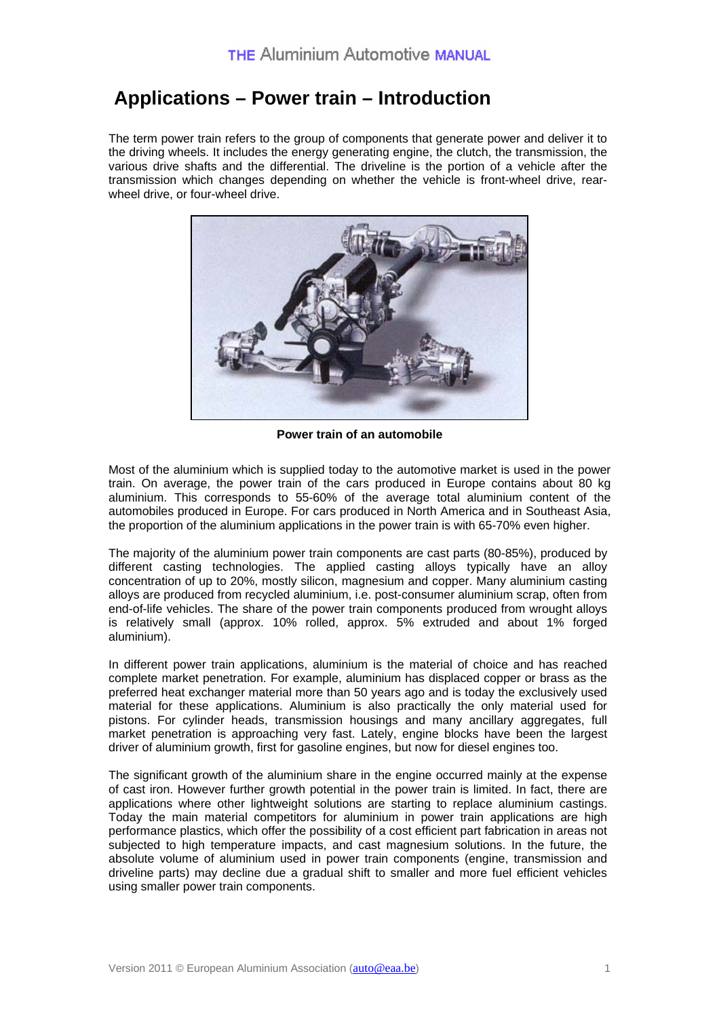## **Applications – Power train – Introduction**

The term power train refers to the group of components that generate power and deliver it to the driving wheels. It includes the energy generating engine, the clutch, the transmission, the various drive shafts and the differential. The driveline is the portion of a vehicle after the transmission which changes depending on whether the vehicle is front-wheel drive, rearwheel drive, or four-wheel drive.



**Power train of an automobile** 

Most of the aluminium which is supplied today to the automotive market is used in the power train. On average, the power train of the cars produced in Europe contains about 80 kg aluminium. This corresponds to 55-60% of the average total aluminium content of the automobiles produced in Europe. For cars produced in North America and in Southeast Asia, the proportion of the aluminium applications in the power train is with 65-70% even higher.

The majority of the aluminium power train components are cast parts (80-85%), produced by different casting technologies. The applied casting alloys typically have an alloy concentration of up to 20%, mostly silicon, magnesium and copper. Many aluminium casting alloys are produced from recycled aluminium, i.e. post-consumer aluminium scrap, often from end-of-life vehicles. The share of the power train components produced from wrought alloys is relatively small (approx. 10% rolled, approx. 5% extruded and about 1% forged aluminium).

In different power train applications, aluminium is the material of choice and has reached complete market penetration. For example, aluminium has displaced copper or brass as the preferred heat exchanger material more than 50 years ago and is today the exclusively used material for these applications. Aluminium is also practically the only material used for pistons. For cylinder heads, transmission housings and many ancillary aggregates, full market penetration is approaching very fast. Lately, engine blocks have been the largest driver of aluminium growth, first for gasoline engines, but now for diesel engines too.

The significant growth of the aluminium share in the engine occurred mainly at the expense of cast iron. However further growth potential in the power train is limited. In fact, there are applications where other lightweight solutions are starting to replace aluminium castings. Today the main material competitors for aluminium in power train applications are high performance plastics, which offer the possibility of a cost efficient part fabrication in areas not subjected to high temperature impacts, and cast magnesium solutions. In the future, the absolute volume of aluminium used in power train components (engine, transmission and driveline parts) may decline due a gradual shift to smaller and more fuel efficient vehicles using smaller power train components.